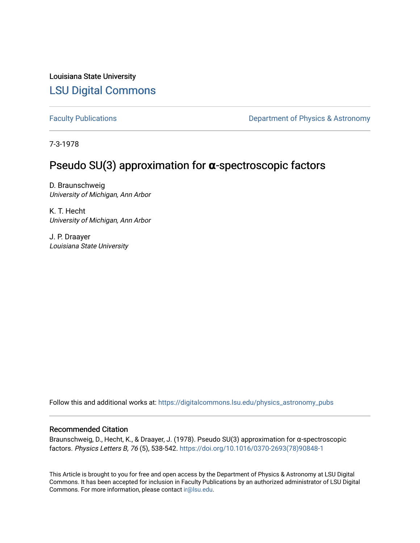Louisiana State University [LSU Digital Commons](https://digitalcommons.lsu.edu/)

[Faculty Publications](https://digitalcommons.lsu.edu/physics_astronomy_pubs) **Exercise 2 and Table 2 and Table 2 and Table 2 and Table 2 and Table 2 and Table 2 and Table 2 and Table 2 and Table 2 and Table 2 and Table 2 and Table 2 and Table 2 and Table 2 and Table 2 and Table** 

7-3-1978

# Pseudo SU(3) approximation for **α**-spectroscopic factors

D. Braunschweig University of Michigan, Ann Arbor

K. T. Hecht University of Michigan, Ann Arbor

J. P. Draayer Louisiana State University

Follow this and additional works at: [https://digitalcommons.lsu.edu/physics\\_astronomy\\_pubs](https://digitalcommons.lsu.edu/physics_astronomy_pubs?utm_source=digitalcommons.lsu.edu%2Fphysics_astronomy_pubs%2F2021&utm_medium=PDF&utm_campaign=PDFCoverPages) 

# Recommended Citation

Braunschweig, D., Hecht, K., & Draayer, J. (1978). Pseudo SU(3) approximation for α-spectroscopic factors. Physics Letters B, 76 (5), 538-542. [https://doi.org/10.1016/0370-2693\(78\)90848-1](https://doi.org/10.1016/0370-2693(78)90848-1)

This Article is brought to you for free and open access by the Department of Physics & Astronomy at LSU Digital Commons. It has been accepted for inclusion in Faculty Publications by an authorized administrator of LSU Digital Commons. For more information, please contact [ir@lsu.edu](mailto:ir@lsu.edu).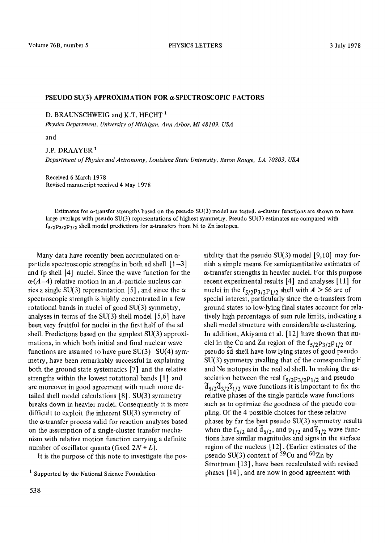#### **PSEUDO SU(3) APPROXIMATION FOR a-SPECTROSCOPIC FACTORS**

D. BRAUNSCHWEIG and K.T. HECHT<sup>1</sup>

*Physics Department, University of Michigan, Ann Arbor, M148109, USA* 

and

J.P. DRAAYER I *Department of Physics and Astronomy, Louisiana State University, Baton Rouge, LA 70803, USA* 

Received 6 March 1978 Revised manuscript received 4 May 1978

Estimates for a-transfer strengths based on the pseudo SU(3) model are tested, a-cluster functions are shown to have large overlaps with pseudo SU(3) representations of highest symmetry. Pseudo SU(3) estimates are compared with  $f_{5/2}p_{3/2}p_{1/2}$  shell model predictions for  $\alpha$ -transfers from Ni to Zn isotopes.

Many data have recently been accumulated on  $\alpha$ particle spectroscopic strengths in both sd shell  $[1-3]$ and fp shell [4] nuclei. Since the wave function for the  $\alpha(A-4)$  relative motion in an A-particle nucleus carries a single SU(3) representation [5], and since the  $\alpha$ spectroscopic strength is highly concentrated in a few rotational bands in nuclei of good SU(3) symmetry, analyses in terms of the  $SU(3)$  shell model [5,6] have been very fruitful for nuclei in the first half of the sd shell. Predictions based on the simplest SU(3) approximations, in which both initial and final nuclear wave functions are assumed to have pure  $SU(3) - SU(4)$  symmetry, have been remarkably successful in explaining both the ground state systematics [7] and the relative strengths within the lowest rotational bands [1] and are moreover in good agreement with much more detailed shell model calculations [8]. SU(3) symmetry breaks down in heavier nuclei. Consequently it is more difficult to exploit the inherent SU(3) symmetry of the  $\alpha$ -transfer process valid for reaction analyses based on the assumption of a single-cluster transfer mechanism with relative motion function carrying a definite number of oscillator quanta (fixed  $2N + L$ ).

It is the purpose of this note to investigate the pos-

sibility that the pseudo  $SU(3)$  model [9,10] may furnish a simple means for semiquantitative estimates of a-transfer strengths in heavier nuclei. For this purpose recent experimental results [4] and analyses [11] for nuclei in the  $f_{5/2}p_{3/2}p_{1/2}$  shell with  $A > 56$  are of special interest, particularly since the  $\alpha$ -transfers from ground states to low-lying final states account for relatively high percentages of sum rule limits, indicating a shell model structure with considerable  $\alpha$ -clustering. In addition, Akiyama et al. [12] have shown that nuclei in the Cu and Zn region of the  $f_{5/2}p_{3/2}p_{1/2}$  or pseudo sd shell have low lying states of good pseudo  $SU(3)$  symmetry rivalling that of the corresponding F and Ne isotopes in the real sd shell. In making the association between the real  $f_{5/2}p_{3/2}p_{1/2}$  and pseudo  $\mathfrak{F}_{5/2}\mathfrak{F}_{3/2}\mathfrak{F}_{1/2}$  wave functions it is important to fix the relative phases of the single particle wave functions such as to optimize the goodness of the pseudo coupling. Of the 4 possible choices for these relative phases by far the best pseudo SU(3) symmetry results when the f<sub>5/2</sub> and  $\tilde{d}_{5/2}$ , and  $p_{1/2}$  and  $\tilde{s}_{1/2}$  wave functions have similar magnitudes and signs in the surface region of the nucleus [12]. (Earlier estimates of the pseudo SU(3) content of  $59$ Cu and  $60$ Zn by Strottman [ 13], have been recalculated with revised phases [14], and are now in good agreement with

<sup>1</sup> Supported by the National Science Foundation.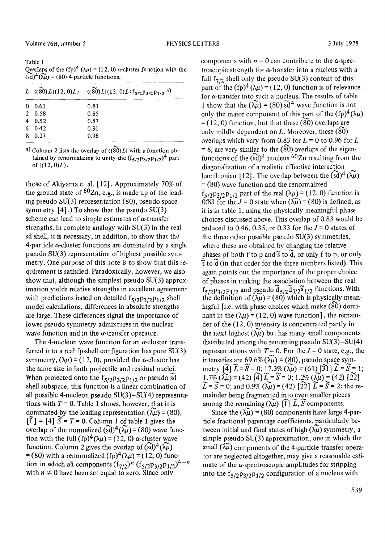Table 1 Overlaps of the (fp)<sup>4</sup> ( $\lambda \mu$ ) = (12, 0)  $\alpha$ -cluster function with the  $(\tilde{sd})^4$  $(\tilde{\lambda}\tilde{\mu})$  = (80) 4-particle functions.

|          |        | L $\langle (\widetilde{\mathfrak{F0}}) L   (12, 0) L \rangle$ $\langle (\widetilde{\mathfrak{F0}}) L   (12, 0) L \rangle f_{5/2} p_{3/2} p_{1/2}$ a) |  |
|----------|--------|------------------------------------------------------------------------------------------------------------------------------------------------------|--|
| $\bf{0}$ | 0.61   | 0.83                                                                                                                                                 |  |
|          | 2 0.58 | 0.85                                                                                                                                                 |  |
| 4        | 0.52   | 0.87                                                                                                                                                 |  |
| 6.       | 0.42   | 0.91                                                                                                                                                 |  |
| 8        | 0.27   | 0.96                                                                                                                                                 |  |

a) Column 2 lists the overlap of  $\langle (80) L |$  with a function obtained by renormalizing to unity the  $(f_{5/2}p_{3/2}p_{1/2})^4$  part of  $|(12, 0)L\rangle$ .

those of Akiyama et al. [12]. Approximately 70% of the ground state of  $60Zn$ , e.g., is made up of the leading pseudo SU(3) representation (80), pseudo space symmetry  $[4]$ .) To show that the pseudo SU(3) scheme can lead to simple estimates of  $\alpha$ -transfer strengths, in complete analogy with SU(3) in the real sd shell, it is necessary, in addition, to show that the 4-particle  $\alpha$ -cluster functions are dominated by a single pseudo SU(3) representation of highest possible symmetry. One purpose of this note is to show that this requirement is satisfied. Paradoxically, however, we also show that, although the simplest pseudo SU(3) approximation yields relative strengths in excellent agreement with predictions based on detailed  $f_{5/2}p_{3/2}p_{1/2}$  shell model calculations, differences in absolute strengths are large. These differences signal the importance of lower pseudo symmetry admixtures in the nuclear wave function and in the  $\alpha$ -transfer operator.

The 4-nucleon wave function for an  $\alpha$ -cluster transferred into a real fp-shell configuration has pure SU(3) symmetry,  $(\lambda u) = (12, 0)$ , provided the  $\alpha$ -cluster has the same size in both projectile and residual nuclei. When projected onto the  $f_{5/2}p_{3/2}p_{1/2}$  or pseudo sd shell subspace, this function is a linear combination of all possible 4-nucleon pseudo SU(3)-SU(4) representations with  $T = 0$ . Table 1 shows, however, that it is dominated by the leading representation  $(\widetilde{\lambda \mu}) = (80)$ ,  $[f] = [4]$   $\tilde{S} = T = 0$ . Column 1 of table 1 gives the overlap of the normalized  $(\tilde{sd})^4(\tilde{\lambda}\tilde{\mu}) = (80)$  wave function with the full  $(fp)^{4}(\lambda \mu) = (12, 0)$   $\alpha$ -cluster wave function. Column 2 gives the overlap of  $(sd)^4(\lambda\mu)$  $= (80)$  with a renormalized  $(fp)^4(\lambda \mu) = (12, 0)$  function in which all components  $(f_{7/2})^n (f_{5/2}p_{3/2}p_{1/2})^{4-n}$ with  $n \neq 0$  have been set equal to zero. Since only

components with  $n = 0$  can contribute to the  $\alpha$ -spectroscopic strength for  $\alpha$ -transfer into a nucleus with a full  $f_{7/2}$  shell only the pseudo SU(3) content of this part of the (fp)<sup>4</sup> ( $\lambda \mu$ ) = (12, 0) function is of relevance for a-transfer into such a nucleus. The results of table 1 show that the  $(\widetilde{\lambda \mu}) = (80) \widetilde{\text{sd}}^4$  wave function is not only the major component of this part of the  $(\text{fp})^4(\lambda\mu)$  $= (12, 0)$  function, but that these  $(80)$  overlaps are only mildly dependent on  $L$ . Moreover, these  $(80)$ overlaps which vary from 0.83 for  $L = 0$  to 0.96 for  $L$ = 8, are very similar to the  $(\widetilde{80})$  overlaps of the eigenfunctions of the  $(sd)^4$  nucleus <sup>60</sup>Zn resulting from the diagonalization of a realistic effective interaction hamiltonian [12]. The overlap between the  $(sd)^4(\lambda\mu)$ = (80) wave function and the renormalized  $f_{5/2}p_{3/2}p_{1/2}$  part of the real  $(\lambda \mu) = (12, 0)$  function is 0.83 for the  $J = 0$  state when  $(\widetilde{\lambda \mu}) = (80)$  is defined, as it is in table 1, using the physically meaningful phase choices discussed above. This overlap of 0.83 would be reduced to 0.46, 0.35, or 0.33 for the  $J = 0$  states of the three other possible pseudo SU(3) symmetries, where these are obtained by changing the relative phases of both f to p and  $\tilde{s}$  to  $\tilde{d}$ , or only f to p, or only  $\tilde{\mathbf{s}}$  to  $\tilde{\mathbf{d}}$  (in that order for the three numbers listed). This again points out the importance of the proper choice of phases in making the association between the real  $f_{5/2}p_{3/2}p_{1/2}$  and pseudo  $d_{5/2}d_{3/2}s_{1/2}$  functions. With the definition of  $(\lambda \mu)$  = (80) which is physically meaningful [i.e. with phase choices which make (80) dominant in the  $(\lambda \mu) = (12, 0)$  wave function], the remainder of the (12, 0) intensity is concentrated partly in the next highest  $(\lambda \mu)$  but has many small components distributed among the remaining pseudo  $SU(3) - SU(4)$ representations with  $T = 0$ . For the  $J = 0$  state, e.g., the intensities are 69.6% ( $\lambda \mu$ ) = (80), pseudo space symmetry  $\left[\widetilde{4}\right]\widetilde{L}=\widetilde{S}=0; 17.3\%$   $\left(\widetilde{\lambda\mu}\right)=(61)$   $\left[\widetilde{3}\right]\widetilde{L}=\widetilde{S}=1;$ 1.7%  $(\lambda \tilde{\mu}) = (42) [\tilde{4}] \tilde{L} = \tilde{S} = 0; 1.2\% (\lambda \tilde{\mu}) = (42) [\tilde{2}\tilde{2}]$  $\widetilde{L} = \widetilde{S} = 0$ ; and  $0.9\%$  ( $\widetilde{\lambda \mu}$ ) = (42) [22]  $\widetilde{L} = \widetilde{S} = 2$ ; the remainder being fragmented into even smaller pieces among the remaining  $(\lambda \mu)$  [f]  $\widetilde{L}, \widetilde{S}$  components.

Since the  $(\tilde{\lambda}\tilde{\mu})$  = (80) components have large 4-particle fractional parentage coefficients, particularly between initial and final states of high  $(\lambda \mu)$  symmetry, a simple pseudo SU(3) approximation, one in which the small  $(\lambda \mu)$  components of the 4-particle transfer operator are neglected altogether, may give a reasonable estimate of the  $\alpha$ -spectroscopic amplitudes for stripping into the  $f_{5/2}p_{3/2}p_{1/2}$  configuration of a nucleus with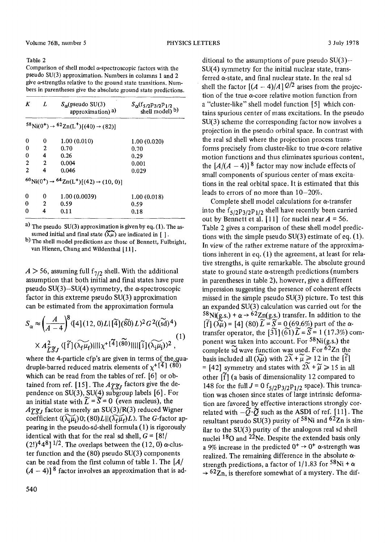### Table 2

Comparison of shell model  $\alpha$ -spectroscopic factors with the pseudo SU(3) approximation. Numbers in columns 1 and 2 give  $\alpha$ -strengths relative to the ground state transitions. Numbers in parentheses give the absolute ground state predictions.

| K              | L            | $S_{\alpha}$ (pseudo SU(3)<br>approximation) <sup>a)</sup>                          | $S_{\alpha}$ (f <sub>5/2</sub> P <sub>3/2</sub> P <sub>1/2</sub><br>shell model) b) |
|----------------|--------------|-------------------------------------------------------------------------------------|-------------------------------------------------------------------------------------|
|                |              | ${}^{58}\text{Ni}(0^+) \rightarrow {}^{62}\text{Zn}(L^+)[(40) \rightarrow (82)]$    |                                                                                     |
| 0              | 0            | 1.00(0.010)                                                                         | 1.00(0.020)                                                                         |
| $\theta$       | $\mathbf{2}$ | 0.70                                                                                | 0.70                                                                                |
| 0              | 4            | 0.26                                                                                | 0.29                                                                                |
| $\overline{2}$ | 2            | 0.004                                                                               | 0.001                                                                               |
| $\mathbf{2}$   | 4            | 0.046                                                                               | 0.029                                                                               |
|                |              | ${}^{60}\text{Ni}(0^+) \rightarrow {}^{64}\text{Zn}(L^+)[(42) \rightarrow (10, 0)]$ |                                                                                     |
| 0              | 0            | 1.00(0.0039)                                                                        | 1.00(0.018)                                                                         |
| 0              | 2            | 0.59                                                                                | 0.59                                                                                |
| n              | 4            | 0.11                                                                                | 0.18                                                                                |

a) The pseudo  $SU(3)$  approximation is given by eq. (1). The assumed initial and final state  $(\tilde{\lambda}\tilde{\mu})$  are indicated in [ ].

b) The shell model predictions are those of Bennett, Fulbright, van Hienen, Chung and Wildenthal [11].

 $A > 56$ , assuming full  $f_{7/2}$  shell. With the additional assumption that both initial and final states have pure pseudo  $SU(3)$ -SU(4) symmetry, the  $\alpha$ -spectroscopic factor in this extreme pseudo SU(3) approximation can be estimated from the approximation formula

$$
S_{\alpha} \approx \left(\frac{A}{A-4}\right)^8 \langle [4](12,0)L | [\widetilde{4}] (\widetilde{80}) L \rangle^2 G^2((\widetilde{8d})^4)
$$
  
 
$$
\times A_{\widetilde{L}\widetilde{S}J}^2 \langle [\widetilde{f}] (\widetilde{\lambda_f} \mu_f) || ||\chi^+[\widetilde{4}] (\widetilde{80}) || || [\widetilde{i}] (\widetilde{\lambda_i} \mu_i) \rangle^2 , \tag{1}
$$

where the 4-particle cfp's are given in terms of the quadruple-barred reduced matrix elements of  $x^{+[4]}$  (80) which can be read from the tables of ref. [6] or obtained from ref. [15]. The  $A\tilde{\gamma}\tilde{\gamma}$  factors give the dependence on SU(3), SU(4) subgroup labels [6]. For an initial state with  $\widetilde{L} = \widetilde{S} = 0$  (even nucleus), the  $A\widetilde{\chi}\widetilde{\chi}_J$  factor is merely an SU(3)/R(3) reduced Wigner coefficient  $\langle (\lambda_i \mu_i) 0; (80) L || (\lambda_f \mu_f) L \rangle$ . The G-factor appearing in the pseudo-sd-shell formula (1) is rigorously identical with that for the real sd shell,  $G = \frac{8!}{ }$  $(2!)^4 4^8$ ] <sup>1/2</sup>. The overlaps between the (12, 0)  $\alpha$ -cluster function and the (80) pseudo SU(3) components can be read from the first column of table 1. The  $[A]$  $(A - 4)$ ]<sup>8</sup> factor involves an approximation that is additional to the assumptions of pure pseudo  $SU(3)$ -SU(4) symmetry for the initial nuclear state, transferred  $\alpha$ -state, and final nuclear state. In the real sd shell the factor  $[(A - 4)/A]$   $\mathcal{Q}/2$  arises from the projection of the true  $\alpha$ -core relative motion function from a "cluster-like" shell model function [5] which contains spurious center of mass excitations. In the pseudo SU(3) scheme the corresponding factor now involves a projection in the pseudo orbital space. In contrast with the real sd shell where the projection process transforms precisely from cluster-like to true  $\alpha$ -core relative motion functions and thus eliminates spurious content, the  $[A/(A-4)]^8$  factor may now include effects of small components of spurious center of mass excitations in the real orbital space. It is estimated that this leads to errors of no more than  $10-20\%$ .

Complete shell model calculations for a-transfer into the  $f_{5/2}p_{3/2}p_{1/2}$  shell have recently been carried out by Bennett et al. [11] for nuclei near  $A = 56$ . Table 2 gives a comparison of these shell model predictions with the simple pseudo  $SU(3)$  estimate of eq. (1). In view of the rather extreme nature of the approximations inherent in eq. (1) the agreement, at least for relative strengths, is quite remarkable. The absolute ground state to ground state  $\alpha$ -strength predictions (numbers in parentheses in table 2), however, give a different impression suggesting the presence of coherent effects missed in the simple pseudo SU(3) picture. To test this an expanded SU(3) calculation was carried out for the  $58\text{Ni(g.s.}) + \alpha \rightarrow 62\text{Zn(g.s.)}$  transfer. In addition to the  $\widetilde{[f]}(\widetilde{\widetilde{\mathcal{M}}}) = [4]$  (80)  $\widetilde{L} = \widetilde{S} = 0$  (69.6%) part of the  $\alpha$ transfer operator, the  $\left[31\right]$  ( $\tilde{61}$ )  $\tilde{L} = \tilde{S} = 1$  (17.3%) component was taken into account. For  $58Ni(g.s.)$  the complete  $\tilde{sd}$  wave function was used. For  $^{62}Zn$  the basis included all  $(\widetilde{\lambda\mu})$  with  $2\widetilde{\lambda} + \widetilde{\mu} \ge 12$  in the  $[\widetilde{f}]$ = [42] symmetry and states with  $2\tilde{\lambda} + \tilde{\mu} \ge 15$  in all other  $\left[\tilde{f}\right]$  (a basis of dimensionality 12 compared to 148 for the full  $J = 0$  f<sub>5/2</sub>P<sub>3/2</sub>P<sub>1/2</sub> space). This truncation was chosen since states of large intrinsic deformation are favored by effective interactions strongly correlated with  $-\widetilde{Q}\cdot\widetilde{Q}$  such as the ASDI of ref. [11]. The resultant pseudo SU(3) purity of <sup>58</sup>Ni and  $62Zn$  is similar to the SU(3) purity of the analogous real sd shell nuclei  $^{18}$ O and  $^{22}$ Ne. Despite the extended basis only a 9% increase in the predicted  $0^+ \rightarrow 0^+$   $\alpha$ -strength was realized. The remaining difference in the absolute  $\alpha$ strength predictions, a factor of 1/1.83 for  $58$ Ni +  $\alpha$  $\rightarrow$  62 $Z$ n, is therefore somewhat of a mystery. The dif-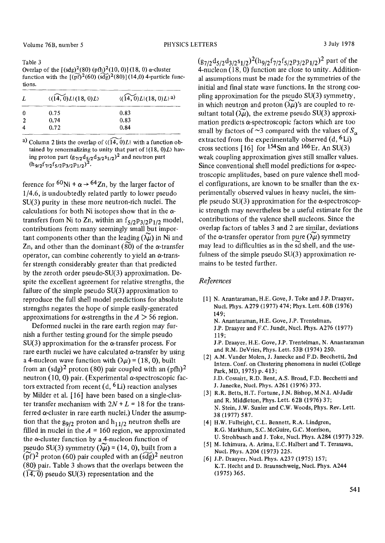Table 3 Overlap of the  $[(\text{sdg})^2(\text{80}) (\text{pfh})^2(10, 0)]$  (18, 0)  $\alpha$ -cluster function with the  $[(\widetilde{pf})^2(60) (\widetilde{sdg})^2(80)](14,0)$  4-particle functions.

|          | $\langle (14, 0)L   (18, 0)L \rangle$ | $\langle (14, 0)L   (18, 0)L \rangle$ a) |
|----------|---------------------------------------|------------------------------------------|
| $\Omega$ | 0.75                                  | 0.83                                     |
|          | 0.74                                  | 0.83                                     |
|          | 0.72                                  | 0.84                                     |

a) Column 2 lists the overlap of  $\langle (14, 0)L |$  with a function obtained by renormalizing to unity that part of  $(18, 0)L$  having proton part  $(g_{7/2}d_{5/2}d_{3/2}s_{1/2})^2$  and neutron part *(h9/2f 7/2fs/2P3/2Pl/2) 2.* 

ference for  ${}^{60}$ Ni +  $\alpha \rightarrow {}^{64}Zn$ , by the larger factor of 1/4.6, is undoubtedly related partly to lower pseudo SU(3) purity in these more neutron-rich nuclei. The calculations for both Ni isotopes show that in the  $\alpha$ transfers from Ni to Zn, within an  $f_{5/2}p_{3/2}p_{1/2}$  model, contributions from many seemingly small but important components other than the leading  $(\lambda \mu)$  in Ni and Zn, and other than the dominant  $(80)$  of the  $\alpha$ -transfer operator, can combine coherently to yield an  $\alpha$ -transfer strength considerably greater than that predicted by the zeroth order pseudo-SU(3) approximation. Despite the excellent agreement for relative strengths, the failure of the simple pseudo SU(3) approximation to reproduce the full shell model predictions for absolute strengths negates the hope of simple easily-generated approximations for  $\alpha$ -strengths in the  $A > 56$  region.

Deformed nuclei in the rare earth region may furnish a further testing ground for the simple pseudo  $SU(3)$  approximation for the  $\alpha$ -transfer process. For rare earth nuclei we have calculated  $\alpha$ -transfer by using a 4-nucleon wave function with  $(\lambda \mu) = (18, 0)$ , built from an  $(sdg)^2$  proton (80) pair coupled with an  $(pfh)^2$ neutron (10, 0) pair. (Experimental  $\alpha$ -spectroscopic factors extracted from recent  $(d, {}^{6}Li)$  reaction analyses by Milder et al. [16] have been based on a single-cluster transfer mechanism with  $2N + L = 18$  for the transferred a-cluster in rare earth nuclei.) Under the assumption that the  $g_{9/2}$  proton and  $h_{11/2}$  neutron shells are filled in nuclei in the  $A = 160$  region, we approximated the a-cluster function by a 4-nucleon function of pseudo SU(3) symmetry  $(\lambda \mu) = (14, 0)$ , built from a  $(\widetilde{\text{pf}})^2$  proton (60) pair coupled with an  $(\widetilde{\text{sdg}})^2$  neutron (80) pair. Table 3 shows that the overlaps between the  $(14, 0)$  pseudo SU(3) representation and the

*(g7/2d5/2d3/2Sl/2)2(h9/2f7/2f5/2P3/2Pl/2) 2* part of the 4-nucleon (18, 0) function are close to unity. Additional assumptions must be made for the symmetries of the initial and final state wave functions. In the strong coupling approximation for the pseudo SU(3) symmetry, in which neutron and proton  $(\lambda \mu)'$ 's are coupled to resultant total  $(\tilde{\lambda \mu})$ , the extreme pseudo SU(3) approximation predicts  $\alpha$ -spectroscopic factors which are too small by factors of  $\sim$ 3 compared with the values of  $S_{\alpha}$ extracted from the experimentally observed  $(d, {}^{6}Li)$ cross sections  $[16]$  for  $154$  Sm and  $166$  Er. An SU(3) weak coupling approximation gives still smaller values. Since conventional shell model predictions for  $\alpha$ -spectroscopic amplitudes, based on pure valence shell model configurations, are known to be smaller than the experimentally observed values in heavy nuclei, the simple pseudo  $SU(3)$  approximation for the  $\alpha$ -spectroscopic strength may nevertheless be a useful estimate for the contributions of the valence shell nucleons. Since the overlap factors of tables 3 and 2 are similar, deviations of the  $\alpha$ -transfer operator from pure  $(\widetilde{\lambda \mu})$  symmetry may lead to difficulties as in the sd shell, and the usefulness of the simple pseudo SU(3) approximation remains to be tested further.

## *References*

- [1] N. Anantaraman, H.E. Gove, J. Toke and J.P. Draayer, Nucl. Phys. A279 (1977) 474; Phys. Lett. 60B (1976) 149; N. Anantaraman, H.E. Gove, J.P. Trentelman, J.P. Draayer and F.C. Jundt, Nucl. Phys. A276 (1977) 119; J.P. Draayer, H.E. Gove, J.P. Trentelman, N. Anantaraman and R.M. DeVries, Phys. Lett. 53B (1974) 250.
- [2] A.M. Vander Molen, J. Janecke and F.D. Becchetti, 2nd Intern. Conf. on Clustering phenomena in nuclei (College Park, MD, 1975) p. 413; J,D. Cossairt, R.D. Bent, A.S. Broad, F.D. Becchetti and J. Janecke, Nucl. Phys. A261 (1976) 373.
- [3] R.R. Betts, H.T. Fortune, J.N. Bishop, M.N.I. A1-Jadir and R. Middleton, Phys. Lett. 62B (1976) 37; N. Stein, J.W. Sunier and C.W. Woods, Phys. Rev. Lett. 38 (1977) 587.
- [4] H.W. Fulbright, C.L. Bennett, R.A. Lindgren, R.G. Markham, S.C. McGuire, G.C. Morrison, U. Strohbusch and J. Toke, Nucl. Phys. A284 (1977) 329.
- [5] M. Ichimura, A. Arima, E.C. Halbert and T. Terasawa, Nucl. Phys. A204 (1973) 225.
- [6] J.P. Draayer, Nucl. Phys. A237 (1975) 157; K.T. Hecht and D. Braunschweig, Nucl. Phys. A244 (1975) 365.